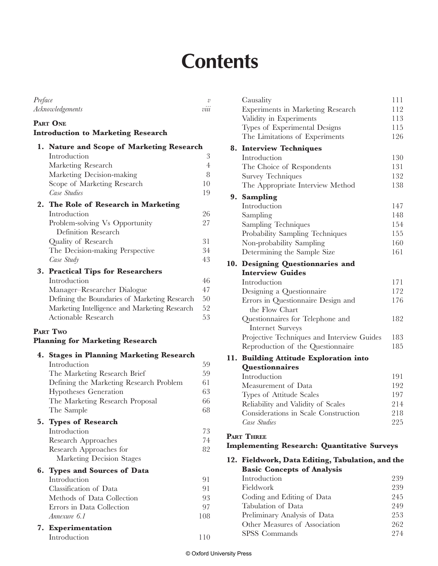# **Contents**

| Preface |                                               | v   |
|---------|-----------------------------------------------|-----|
|         | Acknowledgements                              | vuu |
|         | PART ONE                                      |     |
|         | <b>Introduction to Marketing Research</b>     |     |
|         | 1. Nature and Scope of Marketing Research     |     |
|         | Introduction                                  | 3   |
|         | Marketing Research                            | 4   |
|         | Marketing Decision-making                     | 8   |
|         | Scope of Marketing Research                   | 10  |
|         | Case Studies                                  | 19  |
| 2.      | The Role of Research in Marketing             |     |
|         | Introduction                                  | 26  |
|         | Problem-solving Vs Opportunity                | 27  |
|         | Definition Research                           |     |
|         | Quality of Research                           | 31  |
|         | The Decision-making Perspective               | 34  |
|         | Case Study                                    | 43  |
|         | 3. Practical Tips for Researchers             |     |
|         | Introduction                                  | 46  |
|         | Manager-Researcher Dialogue                   | 47  |
|         | Defining the Boundaries of Marketing Research | 50  |
|         | Marketing Intelligence and Marketing Research | 52  |
|         | Actionable Research                           | 53  |
|         | <b>PART TWO</b>                               |     |
|         | <b>Planning for Marketing Research</b>        |     |
|         | 4. Stages in Planning Marketing Research      |     |
|         | Introduction                                  | 59  |
|         | The Marketing Research Brief                  | 59  |
|         | Defining the Marketing Research Problem       | 61  |
|         | Hypotheses Generation                         | 63  |
|         | The Marketing Research Proposal               | 66  |
|         | The Sample                                    | 68  |
|         | 5. Types of Research                          |     |
|         | Introduction                                  | 73  |
|         | Research Approaches                           | 74  |
|         | Research Approaches for                       | 82  |
|         | Marketing Decision Stages                     |     |
|         | 6. Types and Sources of Data                  |     |
|         | Introduction                                  | 91  |
|         | Classification of Data                        | 91  |
|         | Methods of Data Collection                    | 93  |
|         | Errors in Data Collection                     | 97  |
|         | Annexure 6.1                                  | 108 |
|         | 7. Experimentation                            |     |
|         | Introduction                                  | 110 |

|     | Causality                                          | 111 |
|-----|----------------------------------------------------|-----|
|     | Experiments in Marketing Research                  | 112 |
|     | Validity in Experiments                            | 113 |
|     | Types of Experimental Designs                      | 115 |
|     | The Limitations of Experiments                     | 126 |
| 8.  | <b>Interview Techniques</b>                        |     |
|     | Introduction                                       | 130 |
|     | The Choice of Respondents                          | 131 |
|     | <b>Survey Techniques</b>                           | 132 |
|     | The Appropriate Interview Method                   | 138 |
|     | 9. Sampling                                        |     |
|     | Introduction                                       | 147 |
|     | Sampling                                           | 148 |
|     | Sampling Techniques                                | 154 |
|     | Probability Sampling Techniques                    | 155 |
|     | Non-probability Sampling                           | 160 |
|     | Determining the Sample Size                        | 161 |
|     | 10. Designing Questionnaries and                   |     |
|     | <b>Interview Guides</b>                            |     |
|     | Introduction                                       | 171 |
|     | Designing a Questionnaire                          | 172 |
|     | Errors in Questionnaire Design and                 | 176 |
|     | the Flow Chart                                     |     |
|     | Questionnaires for Telephone and                   | 182 |
|     | <b>Internet Surveys</b>                            |     |
|     | Projective Techniques and Interview Guides         | 183 |
|     | Reproduction of the Questionnaire                  | 185 |
| 11. | <b>Building Attitude Exploration into</b>          |     |
|     | Questionnaires                                     |     |
|     | Introduction                                       | 191 |
|     | Measurement of Data                                | 192 |
|     | Types of Attitude Scales                           | 197 |
|     | Reliability and Validity of Scales                 | 214 |
|     | Considerations in Scale Construction               | 218 |
|     | Case Studies                                       | 225 |
|     | <b>PART THREE</b>                                  |     |
|     | <b>Implementing Research: Quantitative Surveys</b> |     |
|     | 12. Fieldwork, Data Editing, Tabulation, and the   |     |
|     | <b>Basic Concepts of Analysis</b>                  |     |
|     | Introduction                                       | 239 |
|     | Fieldwork                                          | 239 |
|     | Coding and Editing of Data                         | 245 |
|     | Tabulation of Data                                 | 249 |
|     | Preliminary Analysis of Data                       | 253 |
|     | Other Measures of Association                      | 262 |
|     | SPSS Commands                                      | 274 |
|     |                                                    |     |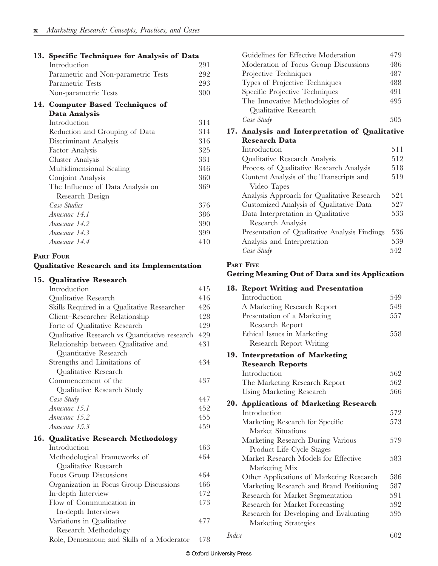| 13. Specific Techniques for Analysis of Data |     |  |  |  |  |
|----------------------------------------------|-----|--|--|--|--|
| Introduction                                 | 291 |  |  |  |  |
| Parametric and Non-parametric Tests          | 292 |  |  |  |  |
| Parametric Tests                             | 293 |  |  |  |  |
| Non-parametric Tests                         | 300 |  |  |  |  |
| 14. Computer Based Techniques of             |     |  |  |  |  |
| Data Analysis                                |     |  |  |  |  |
| Introduction                                 | 314 |  |  |  |  |
| Reduction and Grouping of Data               | 314 |  |  |  |  |
| Discriminant Analysis                        | 316 |  |  |  |  |
| Factor Analysis                              | 325 |  |  |  |  |
| Cluster Analysis                             | 331 |  |  |  |  |
| Multidimensional Scaling                     | 346 |  |  |  |  |
| Conjoint Analysis                            | 360 |  |  |  |  |
| The Influence of Data Analysis on            | 369 |  |  |  |  |
| Research Design                              |     |  |  |  |  |
| Case Studies                                 | 376 |  |  |  |  |
| Annexure 14.1                                | 386 |  |  |  |  |
| Annexure 14.2                                | 390 |  |  |  |  |
| Annexure 14.3                                | 399 |  |  |  |  |
| Annexure 14.4                                | 410 |  |  |  |  |
|                                              |     |  |  |  |  |

#### **PART FOUR**

#### **Qualitative Research and its Implementation**

#### **15. Qualitative Research**

| Introduction                                  | 415 |
|-----------------------------------------------|-----|
| Qualitative Research                          | 416 |
| Skills Required in a Qualitative Researcher   | 426 |
| Client-Researcher Relationship                | 428 |
| Forte of Qualitative Research                 | 429 |
| Qualitative Research vs Quantitative research | 429 |
| Relationship between Qualitative and          | 431 |
| Quantitative Research                         |     |
| Strengths and Limitations of                  | 434 |
| Qualitative Research                          |     |
| Commencement of the                           | 437 |
| Qualitative Research Study                    |     |
| Case Study                                    | 447 |
| Annexure 15.1                                 | 452 |
| Annexure 15.2                                 | 455 |
| Annexure 15.3                                 | 459 |
| 16. Qualitative Research Methodology          |     |
| Introduction                                  | 463 |
| Methodological Frameworks of                  | 464 |
| Qualitative Research                          |     |
| Focus Group Discussions                       | 464 |
| Organization in Focus Group Discussions       | 466 |
| In-depth Interview                            | 472 |
| Flow of Communication in                      | 473 |
| In-depth Interviews                           |     |
| Variations in Qualitative                     | 477 |
| Research Methodology                          |     |
| Role, Demeanour, and Skills of a Moderator    | 478 |

| Guidelines for Effective Moderation   | 479 |
|---------------------------------------|-----|
| Moderation of Focus Group Discussions | 486 |
| Projective Techniques                 | 487 |
| Types of Projective Techniques        | 488 |
| Specific Projective Techniques        | 491 |
| The Innovative Methodologies of       | 495 |
| Qualitative Research                  |     |
| Case Study                            | 505 |
|                                       |     |

#### **17. Analysis and Interpretation of Qualitative Research Data**

| Introduction                                  | 511 |
|-----------------------------------------------|-----|
| Qualitative Research Analysis                 | 512 |
| Process of Qualitative Research Analysis      | 518 |
| Content Analysis of the Transcripts and       | 519 |
| Video Tapes                                   |     |
| Analysis Approach for Qualitative Research    | 524 |
| Customized Analysis of Qualitative Data       | 527 |
| Data Interpretation in Qualitative            | 533 |
| Research Analysis                             |     |
| Presentation of Qualitative Analysis Findings | 536 |
| Analysis and Interpretation                   | 539 |
| Case Study                                    | 542 |

#### **PART FIVE**

#### **Getting Meaning Out of Data and its Application**

| 18. Report Writing and Presentation      |                                                                                                              |
|------------------------------------------|--------------------------------------------------------------------------------------------------------------|
| Introduction                             | 549                                                                                                          |
| A Marketing Research Report              | 549                                                                                                          |
| Presentation of a Marketing              | 557                                                                                                          |
| Research Report                          |                                                                                                              |
| Ethical Issues in Marketing              | 558                                                                                                          |
| <b>Research Report Writing</b>           |                                                                                                              |
|                                          |                                                                                                              |
| <b>Research Reports</b>                  |                                                                                                              |
| Introduction                             | 562                                                                                                          |
| The Marketing Research Report            | 562                                                                                                          |
| <b>Using Marketing Research</b>          | 566                                                                                                          |
|                                          |                                                                                                              |
| Introduction                             | 572                                                                                                          |
|                                          | 573                                                                                                          |
| <b>Market Situations</b>                 |                                                                                                              |
| Marketing Research During Various        | 579                                                                                                          |
| Product Life Cycle Stages                |                                                                                                              |
| Market Research Models for Effective     | 583                                                                                                          |
| Marketing Mix                            |                                                                                                              |
| Other Applications of Marketing Research | 586                                                                                                          |
| Marketing Research and Brand Positioning | 587                                                                                                          |
| Research for Market Segmentation         | 591                                                                                                          |
| Research for Market Forecasting          | 592                                                                                                          |
| Research for Developing and Evaluating   | 595                                                                                                          |
| Marketing Strategies                     |                                                                                                              |
| Index                                    | 602                                                                                                          |
|                                          | 19. Interpretation of Marketing<br>20. Applications of Marketing Research<br>Marketing Research for Specific |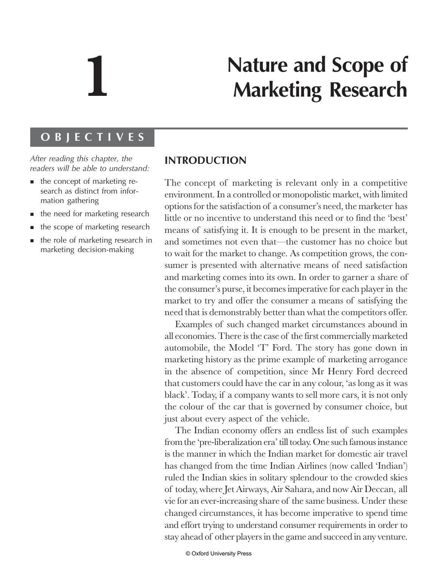# **1**

# **Nature and Scope of Marketing Research**

### OBJECTIVES

After reading this chapter, the readers will be able to understand:

- $\blacksquare$  the concept of marketing research as distinct from information gathering
- $\blacksquare$  the need for marketing research
- - $\blacksquare$  the scope of marketing research
- $\quad \blacksquare$  the role of marketing research in marketing decision-making

# **INTRODUCTION**

The concept of marketing is relevant only in a competitive environment. In a controlled or monopolistic market, with limited options for the satisfaction of a consumer's need, the marketer has little or no incentive to understand this need or to find the 'best' means of satisfying it. It is enough to be present in the market, and sometimes not even that—the customer has no choice but to wait for the market to change. As competition grows, the consumer is presented with alternative means of need satisfaction and marketing comes into its own. In order to garner a share of the consumer's purse, it becomes imperative for each player in the market to try and offer the consumer a means of satisfying the need that is demonstrably better than what the competitors offer.

Examples of such changed market circumstances abound in all economies. There is the case of the first commercially marketed automobile, the Model 'T' Ford. The story has gone down in marketing history as the prime example of marketing arrogance in the absence of competition, since Mr Henry Ford decreed that customers could have the car in any colour, 'as long as it was black'. Today, if a company wants to sell more cars, it is not only the colour of the car that is governed by consumer choice, but just about every aspect of the vehicle.

The Indian economy offers an endless list of such examples from the 'pre-liberalization era' till today. One such famous instance is the manner in which the Indian market for domestic air travel has changed from the time Indian Airlines (now called 'Indian') ruled the Indian skies in solitary splendour to the crowded skies of today, where Jet Airways, Air Sahara, and now Air Deccan, all vie for an ever-increasing share of the same business. Under these changed circumstances, it has become imperative to spend time and effort trying to understand consumer requirements in order to stay ahead of other players in the game and succeed in any venture.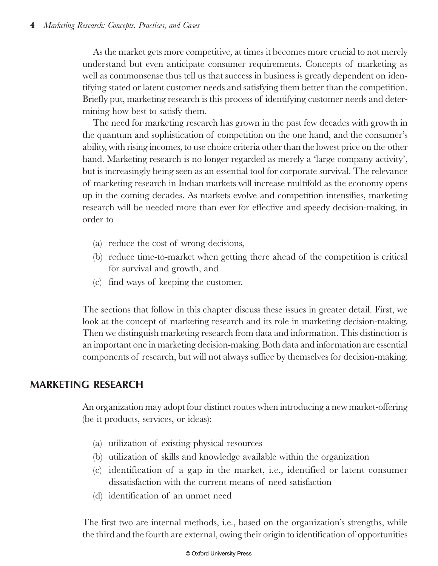As the market gets more competitive, at times it becomes more crucial to not merely understand but even anticipate consumer requirements. Concepts of marketing as well as commonsense thus tell us that success in business is greatly dependent on identifying stated or latent customer needs and satisfying them better than the competition. Briefly put, marketing research is this process of identifying customer needs and determining how best to satisfy them.

The need for marketing research has grown in the past few decades with growth in the quantum and sophistication of competition on the one hand, and the consumer's ability, with rising incomes, to use choice criteria other than the lowest price on the other hand. Marketing research is no longer regarded as merely a 'large company activity', but is increasingly being seen as an essential tool for corporate survival. The relevance of marketing research in Indian markets will increase multifold as the economy opens up in the coming decades. As markets evolve and competition intensifies, marketing research will be needed more than ever for effective and speedy decision-making, in order to

- (a) reduce the cost of wrong decisions,
- (b) reduce time-to-market when getting there ahead of the competition is critical for survival and growth, and
- (c) find ways of keeping the customer.

The sections that follow in this chapter discuss these issues in greater detail. First, we look at the concept of marketing research and its role in marketing decision-making. Then we distinguish marketing research from data and information. This distinction is an important one in marketing decision-making. Both data and information are essential components of research, but will not always suffice by themselves for decision-making.

# MARKETING RESEARCH

An organization may adopt four distinct routes when introducing a new market-offering (be it products, services, or ideas):

- (a) utilization of existing physical resources
- (b) utilization of skills and knowledge available within the organization
- (c) identification of a gap in the market, i.e., identified or latent consumer dissatisfaction with the current means of need satisfaction
- (d) identification of an unmet need

The first two are internal methods, i.e., based on the organization's strengths, while the third and the fourth are external, owing their origin to identification of opportunities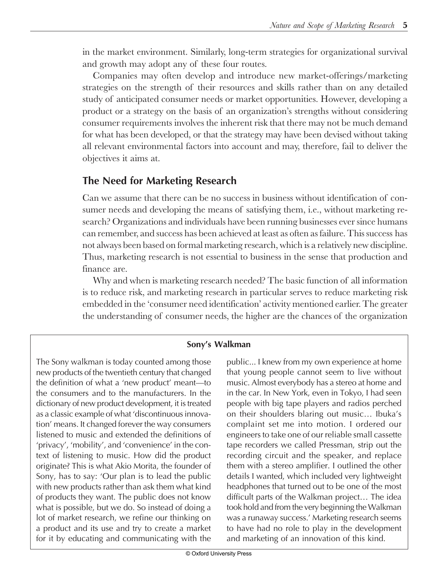in the market environment. Similarly, long-term strategies for organizational survival and growth may adopt any of these four routes.

Companies may often develop and introduce new market-offerings/marketing strategies on the strength of their resources and skills rather than on any detailed study of anticipated consumer needs or market opportunities. However, developing a product or a strategy on the basis of an organization's strengths without considering consumer requirements involves the inherent risk that there may not be much demand for what has been developed, or that the strategy may have been devised without taking all relevant environmental factors into account and may, therefore, fail to deliver the objectives it aims at.

# The Need for Marketing Research

Can we assume that there can be no success in business without identification of consumer needs and developing the means of satisfying them, i.e., without marketing research? Organizations and individuals have been running businesses ever since humans can remember, and success has been achieved at least as often as failure. This success has not always been based on formal marketing research, which is a relatively new discipline. Thus, marketing research is not essential to business in the sense that production and finance are.

Why and when is marketing research needed? The basic function of all information is to reduce risk, and marketing research in particular serves to reduce marketing risk embedded in the 'consumer need identification' activity mentioned earlier. The greater the understanding of consumer needs, the higher are the chances of the organization

#### Sony's Walkman

The Sony walkman is today counted among those new products of the twentieth century that changed the definition of what a 'new product' meant—to the consumers and to the manufacturers. In the dictionary of new product development, it is treated as a classic example of what 'discontinuous innovation' means. It changed forever the way consumers listened to music and extended the definitions of 'privacy', 'mobility', and 'convenience' in the context of listening to music. How did the product originate? This is what Akio Morita, the founder of Sony, has to say: 'Our plan is to lead the public with new products rather than ask them what kind of products they want. The public does not know what is possible, but we do. So instead of doing a lot of market research, we refine our thinking on a product and its use and try to create a market for it by educating and communicating with the public... I knew from my own experience at home that young people cannot seem to live without music. Almost everybody has a stereo at home and in the car. In New York, even in Tokyo, I had seen people with big tape players and radios perched on their shoulders blaring out music... Ibuka's complaint set me into motion. I ordered our engineers to take one of our reliable small cassette tape recorders we called Pressman, strip out the recording circuit and the speaker, and replace them with a stereo amplifier. I outlined the other details I wanted, which included very lightweight headphones that turned out to be one of the most difficult parts of the Walkman project... The idea took hold and from the very beginning the Walkman was a runaway success.′ Marketing research seems to have had no role to play in the development and marketing of an innovation of this kind.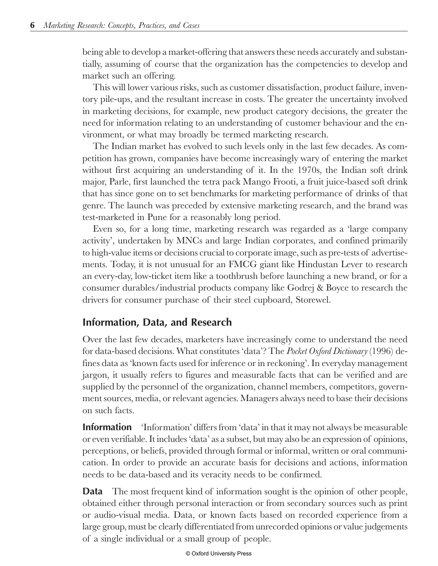being able to develop a market-offering that answers these needs accurately and substantially, assuming of course that the organization has the competencies to develop and market such an offering.

This will lower various risks, such as customer dissatisfaction, product failure, inventory pile-ups, and the resultant increase in costs. The greater the uncertainty involved in marketing decisions, for example, new product category decisions, the greater the need for information relating to an understanding of customer behaviour and the environment, or what may broadly be termed marketing research.

The Indian market has evolved to such levels only in the last few decades. As competition has grown, companies have become increasingly wary of entering the market without first acquiring an understanding of it. In the 1970s, the Indian soft drink major, Parle, first launched the tetra pack Mango Frooti, a fruit juice-based soft drink that has since gone on to set benchmarks for marketing performance of drinks of that genre. The launch was preceded by extensive marketing research, and the brand was test-marketed in Pune for a reasonably long period.

Even so, for a long time, marketing research was regarded as a 'large company activity', undertaken by MNCs and large Indian corporates, and confined primarily to high-value items or decisions crucial to corporate image, such as pre-tests of advertisements. Today, it is not unusual for an FMCG giant like Hindustan Lever to research an every-day, low-ticket item like a toothbrush before launching a new brand, or for a consumer durables/industrial products company like Godrej & Boyce to research the drivers for consumer purchase of their steel cupboard, Storewel.

# Intormation, Data, and Research

Over the last few decades, marketers have increasingly come to understand the need for data-based decisions. What constitutes 'data'? The *Pocket Oxford Dictionary* (1996) defines data as 'known facts used for inference or in reckoning'. In everyday management jargon, it usually refers to figures and measurable facts that can be verified and are supplied by the personnel of the organization, channel members, competitors, government sources, media, or relevant agencies. Managers always need to base their decisions on such facts.

**Information** 'Information' differs from 'data' in that it may not always be measurable or even verifiable. It includes 'data' as a subset, but may also be an expression of opinions, perceptions, or beliefs, provided through formal or informal, written or oral communication. In order to provide an accurate basis for decisions and actions, information needs to be data-based and its veracity needs to be confirmed.

**Data** The most frequent kind of information sought is the opinion of other people, obtained either through personal interaction or from secondary sources such as print or audio-visual media. Data, or known facts based on recorded experience from a large group, must be clearly differentiated from unrecorded opinions or value judgements of a single individual or a small group of people.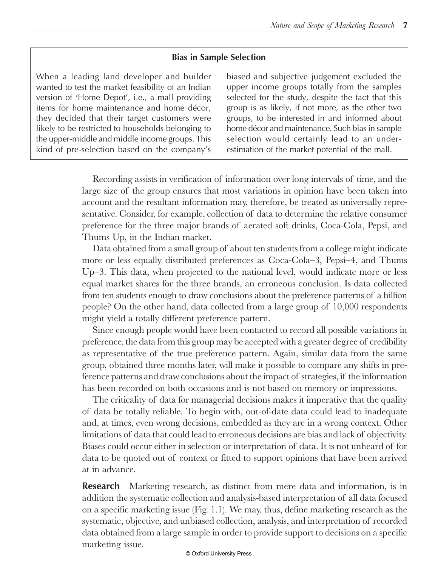#### **Bias in Sample Selection**

When a leading land developer and builder wanted to test the market feasibility of an Indian version of 'Home Depot', i.e., a mall providing items for home maintenance and home décor, they decided that their target customers were likely to be restricted to households belonging to the upper-middle and middle income groups. This kind of pre-selection based on the company's

biased and subjective judgement excluded the upper income groups totally from the samples selected for the study, despite the fact that this group is as likely, if not more, as the other two groups, to be interested in and informed about home décor and maintenance. Such bias in sample selection would certainly lead to an underestimation of the market potential of the mall.

Recording assists in verification of information over long intervals of time, and the large size of the group ensures that most variations in opinion have been taken into account and the resultant information may, therefore, be treated as universally representative. Consider, for example, collection of data to determine the relative consumer preference for the three major brands of aerated soft drinks, Coca-Cola, Pepsi, and Thums Up, in the Indian market.

Data obtained from a small group of about ten students from a college might indicate more or less equally distributed preferences as Coca-Cola–3, Pepsi–4, and Thums Up–3. This data, when projected to the national level, would indicate more or less equal market shares for the three brands, an erroneous conclusion. Is data collected from ten students enough to draw conclusions about the preference patterns of a billion people? On the other hand, data collected from a large group of 10,000 respondents might yield a totally different preference pattern.

Since enough people would have been contacted to record all possible variations in preference, the data from this group may be accepted with a greater degree of credibility as representative of the true preference pattern. Again, similar data from the same group, obtained three months later, will make it possible to compare any shifts in preference patterns and draw conclusions about the impact of strategies, if the information has been recorded on both occasions and is not based on memory or impressions.

The criticality of data for managerial decisions makes it imperative that the quality of data be totally reliable. To begin with, out-of-date data could lead to inadequate and, at times, even wrong decisions, embedded as they are in a wrong context. Other limitations of data that could lead to erroneous decisions are bias and lack of objectivity. Biases could occur either in selection or interpretation of data. It is not unheard of for data to be quoted out of context or fitted to support opinions that have been arrived at in advance.

**Research** Marketing research, as distinct from mere data and information, is in addition the systematic collection and analysis-based interpretation of all data focused on a specific marketing issue (Fig. 1.1). We may, thus, define marketing research as the systematic, objective, and unbiased collection, analysis, and interpretation of recorded data obtained from a large sample in order to provide support to decisions on a specific marketing issue.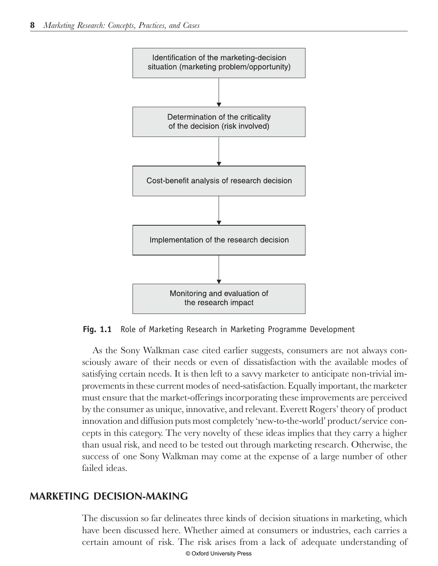

**Fig. 1.1** Role of Marketing Research in Marketing Programme Development

As the Sony Walkman case cited earlier suggests, consumers are not always consciously aware of their needs or even of dissatisfaction with the available modes of satisfying certain needs. It is then left to a savvy marketer to anticipate non-trivial improvements in these current modes of need-satisfaction. Equally important, the marketer must ensure that the market-offerings incorporating these improvements are perceived by the consumer as unique, innovative, and relevant. Everett Rogers' theory of product innovation and diffusion puts most completely 'new-to-the-world' product/service concepts in this category. The very novelty of these ideas implies that they carry a higher than usual risk, and need to be tested out through marketing research. Otherwise, the success of one Sony Walkman may come at the expense of a large number of other failed ideas.

# <u>MARKETING DECISION-MAKING</u>

The discussion so far delineates three kinds of decision situations in marketing, which have been discussed here. Whether aimed at consumers or industries, each carries a certain amount of risk. The risk arises from a lack of adequate understanding of © Oxford University Press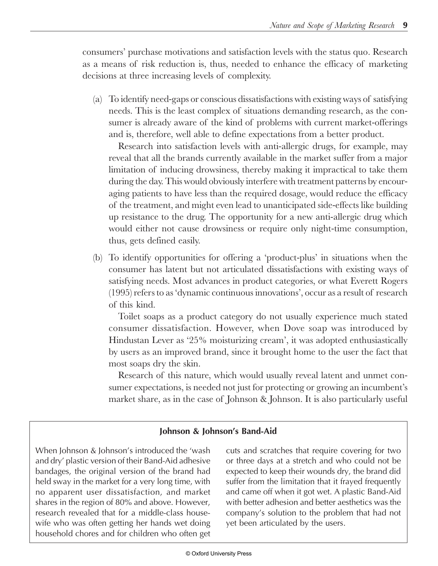consumers' purchase motivations and satisfaction levels with the status quo*.* Research as a means of risk reduction is, thus, needed to enhance the efficacy of marketing decisions at three increasing levels of complexity.

(a) To identify need-gaps or conscious dissatisfactions with existing ways of satisfying needs. This is the least complex of situations demanding research, as the consumer is already aware of the kind of problems with current market-offerings and is, therefore, well able to define expectations from a better product.

Research into satisfaction levels with anti-allergic drugs, for example, may reveal that all the brands currently available in the market suffer from a major limitation of inducing drowsiness, thereby making it impractical to take them during the day. This would obviously interfere with treatment patterns by encouraging patients to have less than the required dosage, would reduce the efficacy of the treatment, and might even lead to unanticipated side-effects like building up resistance to the drug. The opportunity for a new anti-allergic drug which would either not cause drowsiness or require only night-time consumption, thus, gets defined easily.

(b) To identify opportunities for offering a 'product-plus' in situations when the consumer has latent but not articulated dissatisfactions with existing ways of satisfying needs. Most advances in product categories, or what Everett Rogers (1995) refers to as 'dynamic continuous innovations', occur as a result of research of this kind.

Toilet soaps as a product category do not usually experience much stated consumer dissatisfaction. However, when Dove soap was introduced by Hindustan Lever as '25% moisturizing cream', it was adopted enthusiastically by users as an improved brand, since it brought home to the user the fact that most soaps dry the skin.

Research of this nature, which would usually reveal latent and unmet consumer expectations, is needed not just for protecting or growing an incumbent's market share, as in the case of Johnson & Johnson. It is also particularly useful

#### Johnson & Johnson's Band-Aid

When Johnson & Johnson's introduced the 'wash and dry′ plastic version of their Band-Aid adhesive bandages, the original version of the brand had held sway in the market for a very long time, with no apparent user dissatisfaction, and market shares in the region of 80% and above. However, research revealed that for a middle-class housewife who was often getting her hands wet doing household chores and for children who often get cuts and scratches that require covering for two or three days at a stretch and who could not be expected to keep their wounds dry, the brand did suffer from the limitation that it frayed frequently and came off when it got wet. A plastic Band-Aid with better adhesion and better aesthetics was the company's solution to the problem that had not yet been articulated by the users.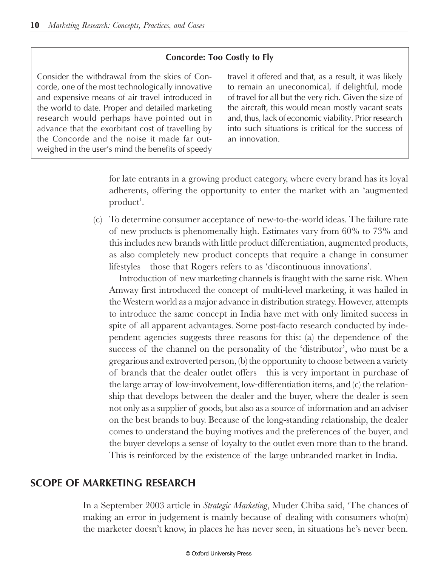#### Concorde: Too Costly to Fly

Consider the withdrawal from the skies of Concorde, one of the most technologically innovative and expensive means of air travel introduced in the world to date. Proper and detailed marketing research would perhaps have pointed out in advance that the exorbitant cost of travelling by the Concorde and the noise it made far outweighed in the user's mind the benefits of speedy travel it offered and that, as a result, it was likely to remain an uneconomical, if delightful, mode of travel for all but the very rich. Given the size of the aircraft, this would mean mostly vacant seats and, thus, lack of economic viability. Prior research into such situations is critical for the success of an innovation.

for late entrants in a growing product category, where every brand has its loyal adherents, offering the opportunity to enter the market with an 'augmented product'.

(c) To determine consumer acceptance of new-to-the-world ideas. The failure rate of new products is phenomenally high. Estimates vary from 60% to 73% and this includes new brands with little product differentiation, augmented products, as also completely new product concepts that require a change in consumer lifestyles—those that Rogers refers to as 'discontinuous innovations'.

Introduction of new marketing channels is fraught with the same risk. When Amway first introduced the concept of multi-level marketing, it was hailed in the Western world as a major advance in distribution strategy. However, attempts to introduce the same concept in India have met with only limited success in spite of all apparent advantages. Some post-facto research conducted by independent agencies suggests three reasons for this: (a) the dependence of the success of the channel on the personality of the 'distributor', who must be a gregarious and extroverted person, (b) the opportunity to choose between a variety of brands that the dealer outlet offers—this is very important in purchase of the large array of low-involvement, low-differentiation items, and (c) the relationship that develops between the dealer and the buyer, where the dealer is seen not only as a supplier of goods, but also as a source of information and an adviser on the best brands to buy. Because of the long-standing relationship, the dealer comes to understand the buying motives and the preferences of the buyer, and the buyer develops a sense of loyalty to the outlet even more than to the brand. This is reinforced by the existence of the large unbranded market in India.

# SCOPE OF MARKETING RESEARCH

In a September 2003 article in *Strategic Marketing*, Muder Chiba said, 'The chances of making an error in judgement is mainly because of dealing with consumers who(m) the marketer doesn't know, in places he has never seen, in situations he's never been.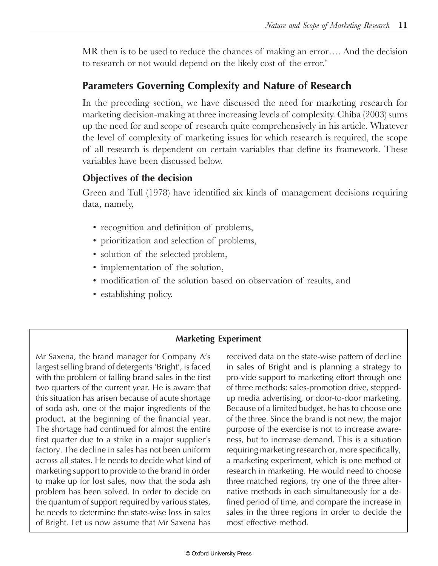MR then is to be used to reduce the chances of making an error…. And the decision to research or not would depend on the likely cost of the error.'

# Parameters Governing Complexity and Nature of Research

In the preceding section, we have discussed the need for marketing research for marketing decision-making at three increasing levels of complexity. Chiba (2003) sums up the need for and scope of research quite comprehensively in his article. Whatever the level of complexity of marketing issues for which research is required, the scope of all research is dependent on certain variables that define its framework. These variables have been discussed below.

# Objectives of the decision

Green and Tull (1978) have identified six kinds of management decisions requiring data, namely,

- recognition and definition of problems,
- prioritization and selection of problems,
- solution of the selected problem,
- implementation of the solution,
- modification of the solution based on observation of results, and
- establishing policy.

#### **Marketing Experiment**

Mr Saxena, the brand manager for Company A's largest selling brand of detergents 'Bright', is faced with the problem of falling brand sales in the first two quarters of the current year. He is aware that this situation has arisen because of acute shortage of soda ash, one of the major ingredients of the product, at the beginning of the financial year. The shortage had continued for almost the entire first quarter due to a strike in a major supplier's factory. The decline in sales has not been uniform across all states. He needs to decide what kind of marketing support to provide to the brand in order to make up for lost sales, now that the soda ash problem has been solved. In order to decide on the quantum of support required by various states, he needs to determine the state-wise loss in sales of Bright. Let us now assume that Mr Saxena has received data on the state-wise pattern of decline in sales of Bright and is planning a strategy to pro-vide support to marketing effort through one of three methods: sales-promotion drive, steppedup media advertising, or door-to-door marketing. Because of a limited budget, he has to choose one of the three. Since the brand is not new, the major purpose of the exercise is not to increase awareness, but to increase demand. This is a situation requiring marketing research or, more specifically, a marketing experiment, which is one method of research in marketing. He would need to choose three matched regions, try one of the three alternative methods in each simultaneously for a defined period of time, and compare the increase in sales in the three regions in order to decide the most effective method.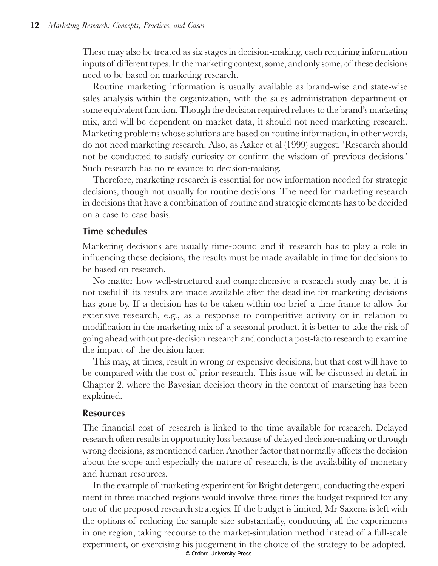These may also be treated as six stages in decision-making, each requiring information inputs of different types. In the marketing context, some, and only some, of these decisions need to be based on marketing research.

Routine marketing information is usually available as brand-wise and state-wise sales analysis within the organization, with the sales administration department or some equivalent function. Though the decision required relates to the brand's marketing mix, and will be dependent on market data, it should not need marketing research. Marketing problems whose solutions are based on routine information, in other words, do not need marketing research. Also, as Aaker et al (1999) suggest, 'Research should not be conducted to satisfy curiosity or confirm the wisdom of previous decisions.' Such research has no relevance to decision-making.

Therefore, marketing research is essential for new information needed for strategic decisions, though not usually for routine decisions. The need for marketing research in decisions that have a combination of routine and strategic elements has to be decided on a case-to-case basis.

### l ime schedules

Marketing decisions are usually time-bound and if research has to play a role in influencing these decisions, the results must be made available in time for decisions to be based on research.

No matter how well-structured and comprehensive a research study may be, it is not useful if its results are made available after the deadline for marketing decisions has gone by. If a decision has to be taken within too brief a time frame to allow for extensive research, e.g., as a response to competitive activity or in relation to modification in the marketing mix of a seasonal product, it is better to take the risk of going ahead without pre-decision research and conduct a post-facto research to examine the impact of the decision later.

This may, at times, result in wrong or expensive decisions, but that cost will have to be compared with the cost of prior research. This issue will be discussed in detail in Chapter 2, where the Bayesian decision theory in the context of marketing has been explained.

#### **Resources**

The financial cost of research is linked to the time available for research. Delayed research often results in opportunity loss because of delayed decision-making or through wrong decisions, as mentioned earlier. Another factor that normally affects the decision about the scope and especially the nature of research, is the availability of monetary and human resources.

In the example of marketing experiment for Bright detergent, conducting the experiment in three matched regions would involve three times the budget required for any one of the proposed research strategies. If the budget is limited, Mr Saxena is left with the options of reducing the sample size substantially, conducting all the experiments in one region, taking recourse to the market-simulation method instead of a full-scale experiment, or exercising his judgement in the choice of the strategy to be adopted. © Oxford University Press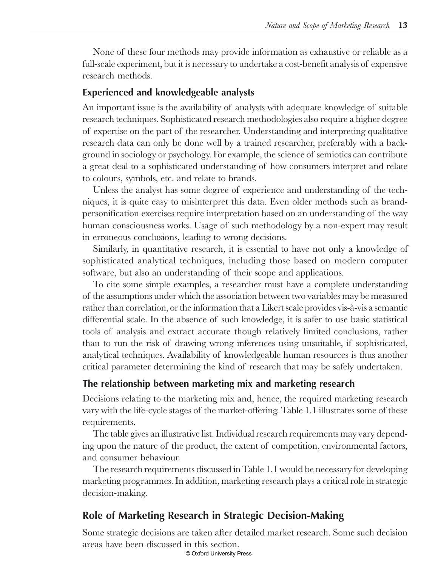None of these four methods may provide information as exhaustive or reliable as a full-scale experiment, but it is necessary to undertake a cost-benefit analysis of expensive research methods.

### Experienced and knowledgeable analysts

An important issue is the availability of analysts with adequate knowledge of suitable research techniques. Sophisticated research methodologies also require a higher degree of expertise on the part of the researcher. Understanding and interpreting qualitative research data can only be done well by a trained researcher, preferably with a background in sociology or psychology. For example, the science of semiotics can contribute a great deal to a sophisticated understanding of how consumers interpret and relate to colours, symbols, etc. and relate to brands.

Unless the analyst has some degree of experience and understanding of the techniques, it is quite easy to misinterpret this data. Even older methods such as brandpersonification exercises require interpretation based on an understanding of the way human consciousness works. Usage of such methodology by a non-expert may result in erroneous conclusions, leading to wrong decisions.

Similarly, in quantitative research, it is essential to have not only a knowledge of sophisticated analytical techniques, including those based on modern computer software, but also an understanding of their scope and applications.

To cite some simple examples, a researcher must have a complete understanding of the assumptions under which the association between two variables may be measured rather than correlation, or the information that a Likert scale provides vis-à-vis a semantic differential scale. In the absence of such knowledge, it is safer to use basic statistical tools of analysis and extract accurate though relatively limited conclusions, rather than to run the risk of drawing wrong inferences using unsuitable, if sophisticated, analytical techniques. Availability of knowledgeable human resources is thus another critical parameter determining the kind of research that may be safely undertaken.

# The relationship between marketing mix and marketing research

Decisions relating to the marketing mix and, hence, the required marketing research vary with the life-cycle stages of the market-offering. Table 1.1 illustrates some of these requirements.

The table gives an illustrative list. Individual research requirements may vary depending upon the nature of the product, the extent of competition, environmental factors, and consumer behaviour.

The research requirements discussed in Table 1.1 would be necessary for developing marketing programmes. In addition, marketing research plays a critical role in strategic decision-making.

# Role of Marketing Research in Strategic Decision-Making

Some strategic decisions are taken after detailed market research. Some such decision areas have been discussed in this section.

© Oxford University Press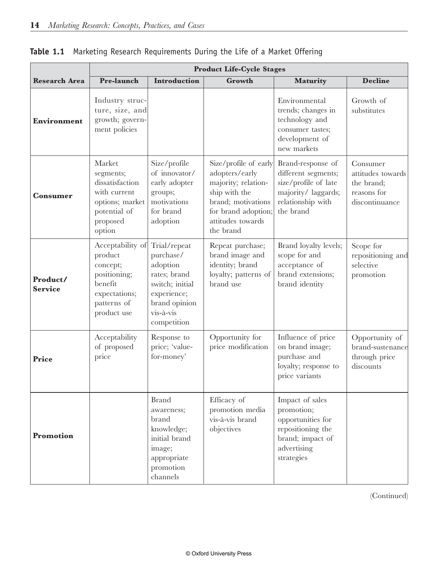|                            | <b>Product Life-Cycle Stages</b>                                                                                  |                                                                                                                                      |                                                                                                                                                                |                                                                                                                           |                                                                              |  |  |  |
|----------------------------|-------------------------------------------------------------------------------------------------------------------|--------------------------------------------------------------------------------------------------------------------------------------|----------------------------------------------------------------------------------------------------------------------------------------------------------------|---------------------------------------------------------------------------------------------------------------------------|------------------------------------------------------------------------------|--|--|--|
| <b>Research Area</b>       | Pre-launch                                                                                                        | Introduction                                                                                                                         | Growth                                                                                                                                                         | Maturity                                                                                                                  | <b>Decline</b>                                                               |  |  |  |
| Environment                | Industry struc-<br>ture, size, and<br>growth; govern-<br>ment policies                                            |                                                                                                                                      |                                                                                                                                                                | Environmental<br>trends; changes in<br>technology and<br>consumer tastes;<br>development of<br>new markets                | Growth of<br>substitutes                                                     |  |  |  |
| <b>Consumer</b>            | Market<br>segments;<br>dissatisfaction<br>with current<br>options; market<br>potential of<br>proposed<br>option   | Size/profile<br>of innovator/<br>early adopter<br>groups;<br>motivations<br>for brand<br>adoption                                    | Size/profile of early<br>adopters/early<br>majority; relation-<br>ship with the<br>brand; motivations<br>for brand adoption;<br>attitudes towards<br>the brand | Brand-response of<br>different segments;<br>size/profile of late<br>majority/ laggards;<br>relationship with<br>the brand | Consumer<br>attitudes towards<br>the brand;<br>reasons for<br>discontinuance |  |  |  |
| Product/<br><b>Service</b> | Acceptability of<br>product<br>concept;<br>positioning;<br>benefit<br>expectations;<br>patterns of<br>product use | Trial/repeat<br>purchase/<br>adoption<br>rates; brand<br>switch; initial<br>experience;<br>brand opinion<br>vis-à-vis<br>competition | Repeat purchase;<br>brand image and<br>identity; brand<br>loyalty; patterns of<br>brand use                                                                    | Brand loyalty levels;<br>scope for and<br>acceptance of<br>brand extensions;<br>brand identity                            | Scope for<br>repositioning and<br>selective<br>promotion                     |  |  |  |
| Price                      | Acceptability<br>of proposed<br>price                                                                             | Response to<br>price; 'value-<br>for-money'                                                                                          | Opportunity for<br>price modification                                                                                                                          | Influence of price<br>on brand image;<br>purchase and<br>loyalty; response to<br>price variants                           | Opportunity of<br>brand-sustenance<br>through price<br>discounts             |  |  |  |
| Promotion                  |                                                                                                                   | <b>Brand</b><br>awareness;<br>brand<br>knowledge;<br>initial brand<br>image;<br>appropriate<br>promotion<br>channels                 | Efficacy of<br>promotion media<br>vis-à-vis brand<br>objectives                                                                                                | Impact of sales<br>promotion;<br>opportunities for<br>repositioning the<br>brand; impact of<br>advertising<br>strategies  |                                                                              |  |  |  |

|  |  |  | <b>Table 1.1</b> Marketing Research Requirements During the Life of a Market Offering |  |  |  |  |  |  |
|--|--|--|---------------------------------------------------------------------------------------|--|--|--|--|--|--|
|--|--|--|---------------------------------------------------------------------------------------|--|--|--|--|--|--|

(Continued)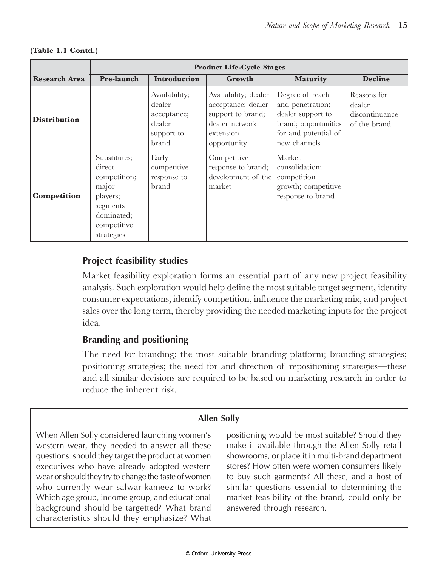|                      | <b>Product Life-Cycle Stages</b>                                                                                   |                                                                                                                                                                                          |                                                                   |                                                                                                                          |                                                         |  |  |  |
|----------------------|--------------------------------------------------------------------------------------------------------------------|------------------------------------------------------------------------------------------------------------------------------------------------------------------------------------------|-------------------------------------------------------------------|--------------------------------------------------------------------------------------------------------------------------|---------------------------------------------------------|--|--|--|
| <b>Research Area</b> | Pre-launch                                                                                                         | <b>Introduction</b>                                                                                                                                                                      | Growth                                                            | <b>Maturity</b>                                                                                                          | <b>Decline</b>                                          |  |  |  |
| <b>Distribution</b>  |                                                                                                                    | Availability;<br>Availability; dealer<br>acceptance; dealer<br>dealer<br>support to brand;<br>acceptance;<br>dealer network<br>dealer<br>extension<br>support to<br>brand<br>opportunity |                                                                   | Degree of reach<br>and penetration;<br>dealer support to<br>brand; opportunities<br>for and potential of<br>new channels | Reasons for<br>dealer<br>discontinuance<br>of the brand |  |  |  |
| Competition          | Substitutes;<br>direct<br>competition;<br>major<br>players;<br>segments<br>dominated;<br>competitive<br>strategies | Early<br>competitive<br>response to<br>brand                                                                                                                                             | Competitive<br>response to brand;<br>development of the<br>market | Market<br>consolidation;<br>competition<br>growth; competitive<br>response to brand                                      |                                                         |  |  |  |

#### **(Table 1.1 Contd.)**

# Project teasibility studies

Market feasibility exploration forms an essential part of any new project feasibility analysis. Such exploration would help define the most suitable target segment, identify consumer expectations, identify competition, influence the marketing mix, and project sales over the long term, thereby providing the needed marketing inputs for the project idea.

## Branding and positioning

The need for branding; the most suitable branding platform; branding strategies; positioning strategies; the need for and direction of repositioning strategies—these and all similar decisions are required to be based on marketing research in order to reduce the inherent risk.

#### Allen Solly

When Allen Solly considered launching women's western wear, they needed to answer all these questions: should they target the product at women executives who have already adopted western wear or should they try to change the taste of women who currently wear salwar-kameez to work? Which age group, income group, and educational background should be targetted? What brand characteristics should they emphasize? What

positioning would be most suitable? Should they make it available through the Allen Solly retail showrooms, or place it in multi-brand department stores? How often were women consumers likely to buy such garments? All these, and a host of similar questions essential to determining the market feasibility of the brand, could only be answered through research.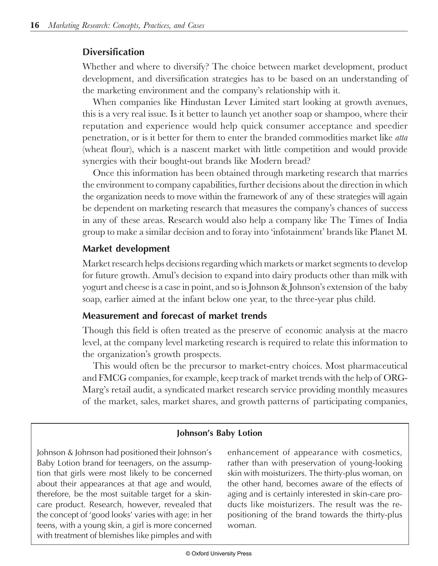### **Diversification**

Whether and where to diversify? The choice between market development, product development, and diversification strategies has to be based on an understanding of the marketing environment and the company's relationship with it.

When companies like Hindustan Lever Limited start looking at growth avenues, this is a very real issue. Is it better to launch yet another soap or shampoo, where their reputation and experience would help quick consumer acceptance and speedier penetration, or is it better for them to enter the branded commodities market like *atta* (wheat flour), which is a nascent market with little competition and would provide synergies with their bought-out brands like Modern bread?

Once this information has been obtained through marketing research that marries the environment to company capabilities, further decisions about the direction in which the organization needs to move within the framework of any of these strategies will again be dependent on marketing research that measures the company's chances of success in any of these areas. Research would also help a company like The Times of India group to make a similar decision and to foray into 'infotainment' brands like Planet M.

# Market development

Market research helps decisions regarding which markets or market segments to develop for future growth. Amul's decision to expand into dairy products other than milk with yogurt and cheese is a case in point, and so is Johnson & Johnson's extension of the baby soap, earlier aimed at the infant below one year, to the three-year plus child.

# Measurement and forecast of market trends

Though this field is often treated as the preserve of economic analysis at the macro level, at the company level marketing research is required to relate this information to the organization's growth prospects.

This would often be the precursor to market-entry choices. Most pharmaceutical and FMCG companies, for example, keep track of market trends with the help of ORG-Marg's retail audit, a syndicated market research service providing monthly measures of the market, sales, market shares, and growth patterns of participating companies,

#### Johnson's Baby Lotion

Johnson & Johnson had positioned their Johnson's Baby Lotion brand for teenagers, on the assumption that girls were most likely to be concerned about their appearances at that age and would, therefore, be the most suitable target for a skincare product. Research, however, revealed that the concept of 'good looks' varies with age: in her teens, with a young skin, a girl is more concerned with treatment of blemishes like pimples and with

enhancement of appearance with cosmetics, rather than with preservation of young-looking skin with moisturizers. The thirty-plus woman, on the other hand, becomes aware of the effects of aging and is certainly interested in skin-care products like moisturizers. The result was the repositioning of the brand towards the thirty-plus woman.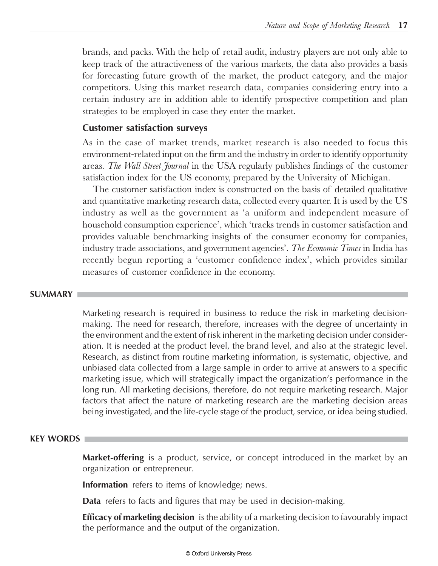brands, and packs. With the help of retail audit, industry players are not only able to keep track of the attractiveness of the various markets, the data also provides a basis for forecasting future growth of the market, the product category, and the major competitors. Using this market research data, companies considering entry into a certain industry are in addition able to identify prospective competition and plan strategies to be employed in case they enter the market.

#### **Customer satisfaction surveys**

As in the case of market trends, market research is also needed to focus this environment-related input on the firm and the industry in order to identify opportunity areas. *The Wall Street Journal* in the USA regularly publishes findings of the customer satisfaction index for the US economy, prepared by the University of Michigan.

The customer satisfaction index is constructed on the basis of detailed qualitative and quantitative marketing research data, collected every quarter. It is used by the US industry as well as the government as 'a uniform and independent measure of household consumption experience', which 'tracks trends in customer satisfaction and provides valuable benchmarking insights of the consumer economy for companies, industry trade associations, and government agencies'. *The Economic Times* in India has recently begun reporting a 'customer confidence index', which provides similar measures of customer confidence in the economy.

#### **SUMMARY**

Marketing research is required in business to reduce the risk in marketing decisionmaking. The need for research, therefore, increases with the degree of uncertainty in the environment and the extent of risk inherent in the marketing decision under consideration. It is needed at the product level, the brand level, and also at the strategic level. Research, as distinct from routine marketing information, is systematic, objective, and unbiased data collected from a large sample in order to arrive at answers to a specific marketing issue, which will strategically impact the organization's performance in the long run. All marketing decisions, therefore, do not require marketing research. Major factors that affect the nature of marketing research are the marketing decision areas being investigated, and the life-cycle stage of the product, service, or idea being studied.

#### **KEY WORDS**

**Market-offering** is a product, service, or concept introduced in the market by an organization or entrepreneur.

**Information** refers to items of knowledge; news.

Data refers to facts and figures that may be used in decision-making.

**Efficacy of marketing decision** is the ability of a marketing decision to favourably impact the performance and the output of the organization.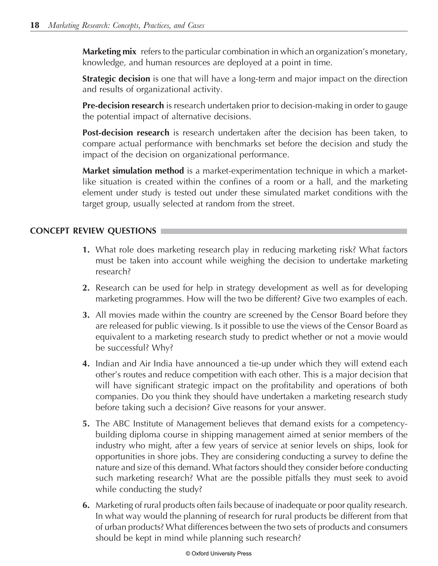**Marketing mix** refers to the particular combination in which an organization's monetary, knowledge, and human resources are deployed at a point in time.

**Strategic decision** is one that will have a long-term and major impact on the direction and results of organizational activity.

**Pre-decision research** is research undertaken prior to decision-making in order to gauge the potential impact of alternative decisions.

**Post-decision research** is research undertaken after the decision has been taken, to compare actual performance with benchmarks set before the decision and study the impact of the decision on organizational performance.

**Market simulation method** is a market-experimentation technique in which a marketlike situation is created within the confines of a room or a hall, and the marketing element under study is tested out under these simulated market conditions with the target group, usually selected at random from the street.

#### **CONCEPT REVIEW QUESTIONS**

- 1. What role does marketing research play in reducing marketing risk? What factors must be taken into account while weighing the decision to undertake marketing research?
- 2. Research can be used for help in strategy development as well as for developing marketing programmes. How will the two be different? Give two examples of each.
- **3.** All movies made within the country are screened by the Censor Board before they are released for public viewing. Is it possible to use the views of the Censor Board as equivalent to a marketing research study to predict whether or not a movie would be successful? Why?
- 4. Indian and Air India have announced a tie-up under which they will extend each other's routes and reduce competition with each other. This is a major decision that will have significant strategic impact on the profitability and operations of both companies. Do you think they should have undertaken a marketing research study before taking such a decision? Give reasons for your answer.
- 5. The ABC Institute of Management believes that demand exists for a competencybuilding diploma course in shipping management aimed at senior members of the industry who might, after a few years of service at senior levels on ships, look for opportunities in shore jobs. They are considering conducting a survey to define the nature and size of this demand. What factors should they consider before conducting such marketing research? What are the possible pitfalls they must seek to avoid while conducting the study?
- **6.** Marketing of rural products often fails because of inadequate or poor quality research. In what way would the planning of research for rural products be different from that of urban products? What differences between the two sets of products and consumers should be kept in mind while planning such research?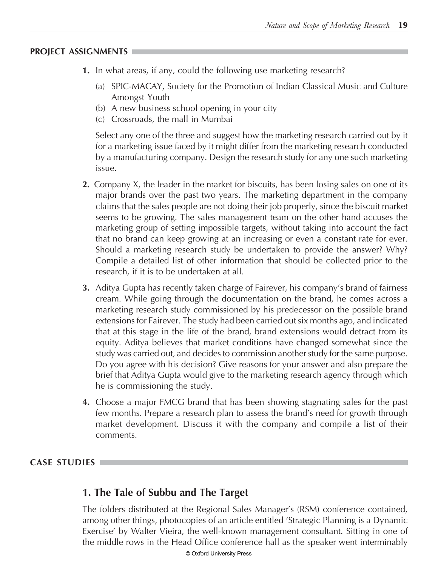#### **PROJECT ASSIGNMENTS**

- 1. In what areas, if any, could the following use marketing research?
	- (a) SPIC-MACAY, Society for the Promotion of Indian Classical Music and Culture Amongst Youth
	- (b) A new business school opening in your city
	- (c) Crossroads, the mall in Mumbai

Select any one of the three and suggest how the marketing research carried out by it for a marketing issue faced by it might differ from the marketing research conducted by a manufacturing company. Design the research study for any one such marketing issue.

- 2. Company X, the leader in the market for biscuits, has been losing sales on one of its major brands over the past two years. The marketing department in the company claims that the sales people are not doing their job properly, since the biscuit market seems to be growing. The sales management team on the other hand accuses the marketing group of setting impossible targets, without taking into account the fact that no brand can keep growing at an increasing or even a constant rate for ever. Should a marketing research study be undertaken to provide the answer? Why? Compile a detailed list of other information that should be collected prior to the research, if it is to be undertaken at all.
- 3. Aditya Gupta has recently taken charge of Fairever, his company's brand of fairness cream. While going through the documentation on the brand, he comes across a marketing research study commissioned by his predecessor on the possible brand extensions for Fairever. The study had been carried out six months ago, and indicated that at this stage in the life of the brand, brand extensions would detract from its equity. Aditya believes that market conditions have changed somewhat since the study was carried out, and decides to commission another study for the same purpose. Do you agree with his decision? Give reasons for your answer and also prepare the brief that Aditya Gupta would give to the marketing research agency through which he is commissioning the study.
- 4. Choose a major FMCG brand that has been showing stagnating sales for the past few months. Prepare a research plan to assess the brand's need for growth through market development. Discuss it with the company and compile a list of their comments.

#### **CASE STUDIES**

#### 1. The Tale of Subbu and The Target

The folders distributed at the Regional Sales Manager's (RSM) conference contained, among other things, photocopies of an article entitled 'Strategic Planning is a Dynamic Exercise' by Walter Vieira, the well-known management consultant. Sitting in one of the middle rows in the Head Office conference hall as the speaker went interminably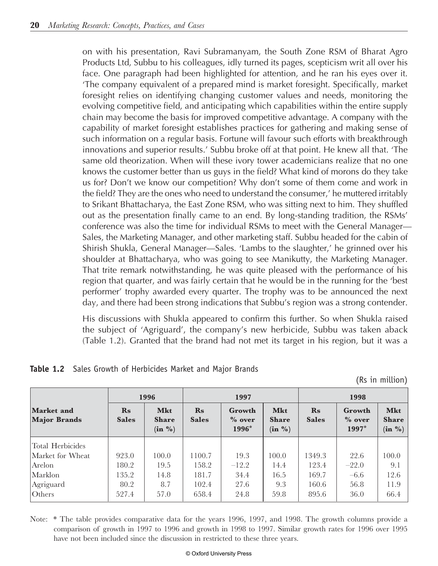on with his presentation, Ravi Subramanyam, the South Zone RSM of Bharat Agro Products Ltd, Subbu to his colleagues, idly turned its pages, scepticism writ all over his face. One paragraph had been highlighted for attention, and he ran his eyes over it. 'The company equivalent of a prepared mind is market foresight. Specifically, market foresight relies on identifying changing customer values and needs, monitoring the evolving competitive field, and anticipating which capabilities within the entire supply chain may become the basis for improved competitive advantage. A company with the capability of market foresight establishes practices for gathering and making sense of such information on a regular basis. Fortune will favour such efforts with breakthrough innovations and superior results.' Subbu broke off at that point. He knew all that. 'The same old theorization. When will these ivory tower academicians realize that no one knows the customer better than us guys in the field? What kind of morons do they take us for? Don't we know our competition? Why don't some of them come and work in the field? They are the ones who need to understand the consumer,' he muttered irritably to Srikant Bhattacharya, the East Zone RSM, who was sitting next to him. They shuffled out as the presentation finally came to an end. By long-standing tradition, the RSMs' conference was also the time for individual RSMs to meet with the General Manager— Sales, the Marketing Manager, and other marketing staff. Subbu headed for the cabin of Shirish Shukla, General Manager—Sales. 'Lambs to the slaughter,' he grinned over his shoulder at Bhattacharya, who was going to see Manikutty, the Marketing Manager. That trite remark notwithstanding, he was quite pleased with the performance of his region that quarter, and was fairly certain that he would be in the running for the 'best performer' trophy awarded every quarter. The trophy was to be announced the next day, and there had been strong indications that Subbu's region was a strong contender.

His discussions with Shukla appeared to confirm this further. So when Shukla raised the subject of 'Agriguard', the company's new herbicide, Subbu was taken aback (Table 1.2). Granted that the brand had not met its target in his region, but it was a

|                                   |                               | 1996                                             |                               | 1997                         |                                                  |                               | 1998                           |                                                  |
|-----------------------------------|-------------------------------|--------------------------------------------------|-------------------------------|------------------------------|--------------------------------------------------|-------------------------------|--------------------------------|--------------------------------------------------|
| Market and<br><b>Major Brands</b> | $\mathbf{Rs}$<br><b>Sales</b> | <b>Mkt</b><br><b>Share</b><br>$(in \frac{0}{0})$ | $\mathbf{Rs}$<br><b>Sales</b> | Growth<br>$\%$ over<br>1996* | <b>Mkt</b><br><b>Share</b><br>$(in \frac{0}{0})$ | $\mathbf{Rs}$<br><b>Sales</b> | Growth<br>$\%$ over<br>$1997*$ | <b>Mkt</b><br><b>Share</b><br>$(in \frac{0}{0})$ |
| Total Herbicides                  |                               |                                                  |                               |                              |                                                  |                               |                                |                                                  |
| Market for Wheat                  | 923.0                         | 100.0                                            | 1100.7                        | 19.3                         | 100.0                                            | 1349.3                        | 22.6                           | 100.0                                            |
| Arelon                            | 180.2                         | 19.5                                             | 158.2                         | $-12.2$                      | 14.4                                             | 123.4                         | $-22.0$                        | 9.1                                              |
| Marklon                           | 135.2                         | 14.8                                             | 181.7                         | 34.4                         | 16.5                                             | 169.7                         | $-6.6$                         | 12.6                                             |
| Agriguard                         | 80.2                          | 8.7                                              | 102.4                         | 27.6                         | 9.3                                              | 160.6                         | 56.8                           | 11.9                                             |
| Others                            | 527.4                         | 57.0                                             | 658.4                         | 24.8                         | 59.8                                             | 895.6                         | 36.0                           | 66.4                                             |

**Table 1.2** Sales Growth of Herbicides Market and Major Brands

(Rs in million)

Note: \* The table provides comparative data for the years 1996, 1997, and 1998. The growth columns provide a comparison of growth in 1997 to 1996 and growth in 1998 to 1997. Similar growth rates for 1996 over 1995 have not been included since the discussion in restricted to these three years.

#### © Oxford University Press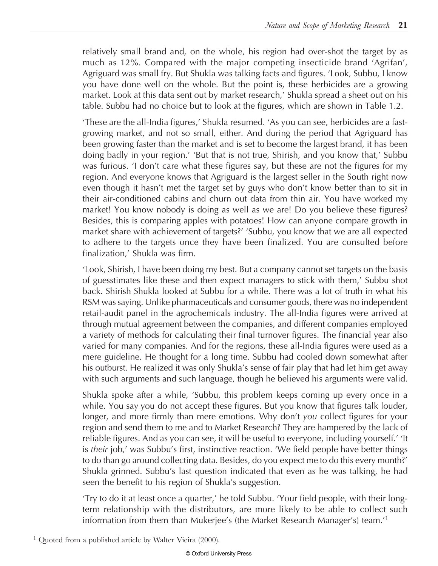relatively small brand and, on the whole, his region had over-shot the target by as much as 12%. Compared with the major competing insecticide brand 'Agrifan', Agriguard was small fry. But Shukla was talking facts and figures. 'Look, Subbu, I know you have done well on the whole. But the point is, these herbicides are a growing market. Look at this data sent out by market research,' Shukla spread a sheet out on his table. Subbu had no choice but to look at the figures, which are shown in Table 1.2.

These are the all-India figures,' Shukla resumed. 'As you can see, herbicides are a fastgrowing market, and not so small, either. And during the period that Agriguard has been growing faster than the market and is set to become the largest brand, it has been doing badly in your region.' 'But that is not true, Shirish, and you know that,' Subbu was furious. 'I don't care what these figures say, but these are not the figures for my region. And everyone knows that Agriguard is the largest seller in the South right now even though it hasn't met the target set by guys who don't know better than to sit in their air-conditioned cabins and churn out data from thin air. You have worked my market! You know nobody is doing as well as we are! Do you believe these figures? Besides, this is comparing apples with potatoes! How can anyone compare growth in market share with achievement of targets?' 'Subbu, you know that we are all expected to adhere to the targets once they have been finalized. You are consulted before finalization,' Shukla was firm.

'Look, Shirish, I have been doing my best. But a company cannot set targets on the basis of guesstimates like these and then expect managers to stick with them,' Subbu shot back. Shirish Shukla looked at Subbu for a while. There was a lot of truth in what his RSM was saying. Unlike pharmaceuticals and consumer goods, there was no independent retail-audit panel in the agrochemicals industry. The all-India figures were arrived at through mutual agreement between the companies, and different companies employed a variety of methods for calculating their final turnover figures. The financial year also varied for many companies. And for the regions, these all-India figures were used as a mere guideline. He thought for a long time. Subbu had cooled down somewhat after his outburst. He realized it was only Shukla's sense of fair play that had let him get away with such arguments and such language, though he believed his arguments were valid.

Shukla spoke after a while, 'Subbu, this problem keeps coming up every once in a while. You say you do not accept these figures. But you know that figures talk louder, longer, and more firmly than mere emotions. Why don't you collect figures for your region and send them to me and to Market Research? They are hampered by the lack of reliable figures. And as you can see, it will be useful to everyone, including yourself.' 'It is their job,' was Subbu's first, instinctive reaction. 'We field people have better things to do than go around collecting data. Besides, do you expect me to do this every month?' Shukla grinned. Subbu's last question indicated that even as he was talking, he had seen the benefit to his region of Shukla's suggestion.

'Try to do it at least once a quarter,' he told Subbu. 'Your field people, with their longterm relationship with the distributors, are more likely to be able to collect such information from them than Mukerjee's (the Market Research Manager's) team.<sup>'1</sup>

<sup>1</sup> Quoted from a published article by Walter Vieira (2000).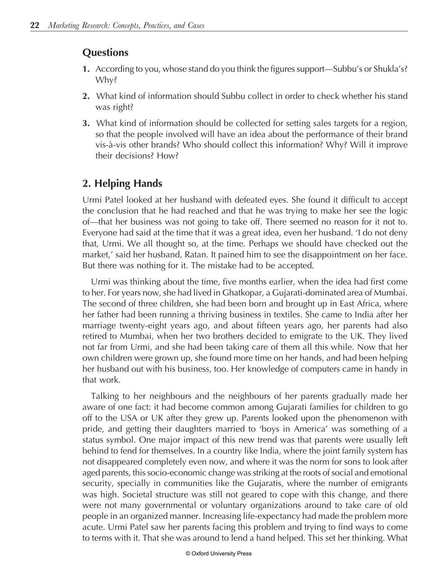## **Questions**

- 1. According to you, whose stand do you think the figures support—Subbu's or Shukla's? Why?
- 2. What kind of information should Subbu collect in order to check whether his stand was right?
- 3. What kind of information should be collected for setting sales targets for a region, so that the people involved will have an idea about the performance of their brand vis-à-vis other brands? Who should collect this information? Why? Will it improve their decisions? How?

# 2. Helping Hands

Urmi Patel looked at her husband with defeated eyes. She found it difficult to accept the conclusion that he had reached and that he was trying to make her see the logic of-that her business was not going to take off. There seemed no reason for it not to. Everyone had said at the time that it was a great idea, even her husband. I do not deny that, Urmi. We all thought so, at the time. Perhaps we should have checked out the market,' said her husband, Ratan. It pained him to see the disappointment on her face. But there was nothing for it. The mistake had to be accepted.

Urmi was thinking about the time, five months earlier, when the idea had first come to her. For years now, she had lived in Ghatkopar, a Gujarati-dominated area of Mumbai. The second of three children, she had been born and brought up in East Africa, where her father had been running a thriving business in textiles. She came to India after her marriage twenty-eight years ago, and about fifteen years ago, her parents had also retired to Mumbai, when her two brothers decided to emigrate to the UK. They lived not far from Urmi, and she had been taking care of them all this while. Now that her own children were grown up, she found more time on her hands, and had been helping her husband out with his business, too. Her knowledge of computers came in handy in that work.

Talking to her neighbours and the neighbours of her parents gradually made her aware of one fact: it had become common among Gujarati families for children to go off to the USA or UK after they grew up. Parents looked upon the phenomenon with pride, and getting their daughters married to 'boys in America' was something of a status symbol. One major impact of this new trend was that parents were usually left behind to fend for themselves. In a country like India, where the joint family system has not disappeared completely even now, and where it was the norm for sons to look after aged parents, this socio-economic change was striking at the roots of social and emotional security, specially in communities like the Gujaratis, where the number of emigrants was high. Societal structure was still not geared to cope with this change, and there were not many governmental or voluntary organizations around to take care of old people in an organized manner. Increasing life-expectancy had made the problem more acute. Urmi Patel saw her parents facing this problem and trying to find ways to come to terms with it. That she was around to lend a hand helped. This set her thinking. What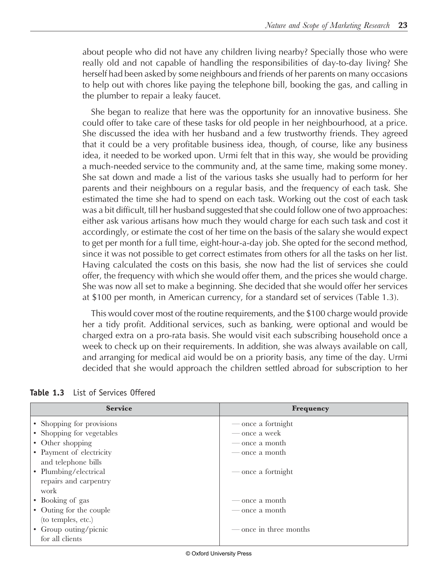about people who did not have any children living nearby? Specially those who were really old and not capable of handling the responsibilities of day-to-day living? She herself had been asked by some neighbours and friends of her parents on many occasions to help out with chores like paying the telephone bill, booking the gas, and calling in the plumber to repair a leaky faucet.

She began to realize that here was the opportunity for an innovative business. She could offer to take care of these tasks for old people in her neighbourhood, at a price. She discussed the idea with her husband and a few trustworthy friends. They agreed that it could be a very profitable business idea, though, of course, like any business idea, it needed to be worked upon. Urmi felt that in this way, she would be providing a much-needed service to the community and, at the same time, making some money. She sat down and made a list of the various tasks she usually had to perform for her parents and their neighbours on a regular basis, and the frequency of each task. She estimated the time she had to spend on each task. Working out the cost of each task was a bit difficult, till her husband suggested that she could follow one of two approaches: either ask various artisans how much they would charge for each such task and cost it accordingly, or estimate the cost of her time on the basis of the salary she would expect to get per month for a full time, eight-hour-a-day job. She opted for the second method, since it was not possible to get correct estimates from others for all the tasks on her list. Having calculated the costs on this basis, she now had the list of services she could offer, the frequency with which she would offer them, and the prices she would charge. She was now all set to make a beginning. She decided that she would offer her services at \$100 per month, in American currency, for a standard set of services (Table 1.3).

This would cover most of the routine requirements, and the \$100 charge would provide her a tidy profit. Additional services, such as banking, were optional and would be charged extra on a pro-rata basis. She would visit each subscribing household once a week to check up on their requirements. In addition, she was always available on call, and arranging for medical aid would be on a priority basis, any time of the day. Urmi decided that she would approach the children settled abroad for subscription to her

| <b>Service</b>            | <b>Frequency</b>       |
|---------------------------|------------------------|
| • Shopping for provisions | — once a fortnight     |
| • Shopping for vegetables | — once a week          |
| • Other shopping          | — once a month         |
| • Payment of electricity  | — once a month         |
| and telephone bills       |                        |
| • Plumbing/electrical     | — once a fortnight     |
| repairs and carpentry     |                        |
| work                      |                        |
| • Booking of gas          | — once a month         |
| • Outing for the couple   | — once a month         |
| (to temples, etc.)        |                        |
| • Group outing/picnic     | — once in three months |
| for all clients           |                        |

**Table 1.3** List of Services Offered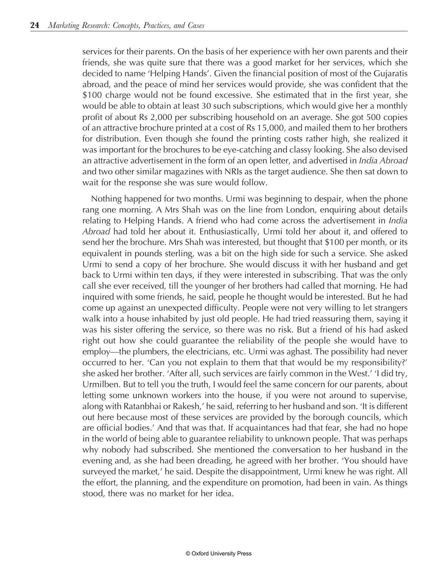services for their parents. On the basis of her experience with her own parents and their friends, she was quite sure that there was a good market for her services, which she decided to name 'Helping Hands'. Given the financial position of most of the Gujaratis abroad, and the peace of mind her services would provide, she was confident that the \$100 charge would not be found excessive. She estimated that in the first year, she would be able to obtain at least 30 such subscriptions, which would give her a monthly profit of about Rs 2,000 per subscribing household on an average. She got 500 copies of an attractive brochure printed at a cost of Rs 15,000, and mailed them to her brothers for distribution. Even though she found the printing costs rather high, she realized it was important for the brochures to be eye-catching and classy looking. She also devised an attractive advertisement in the form of an open letter, and advertised in India Abroad and two other similar magazines with NRIs as the target audience. She then sat down to wait for the response she was sure would follow.

Nothing happened for two months. Urmi was beginning to despair, when the phone rang one morning. A Mrs Shah was on the line from London, enquiring about details relating to Helping Hands. A friend who had come across the advertisement in *India* Abroad had told her about it. Enthusiastically, Urmi told her about it, and offered to send her the brochure. Mrs Shah was interested, but thought that \$100 per month, or its equivalent in pounds sterling, was a bit on the high side for such a service. She asked Urmi to send a copy of her brochure. She would discuss it with her husband and get back to Urmi within ten days, if they were interested in subscribing. That was the only call she ever received, till the younger of her brothers had called that morning. He had inquired with some friends, he said, people he thought would be interested. But he had come up against an unexpected difficulty. People were not very willing to let strangers walk into a house inhabited by just old people. He had tried reassuring them, saying it was his sister offering the service, so there was no risk. But a friend of his had asked right out how she could guarantee the reliability of the people she would have to employ—the plumbers, the electricians, etc. Urmi was aghast. The possibility had never occurred to her. 'Can you not explain to them that that would be my responsibility?' she asked her brother. 'After all, such services are fairly common in the West.' 'I did try, Urmilben. But to tell you the truth, I would feel the same concern for our parents, about letting some unknown workers into the house, if you were not around to supervise, along with Ratanbhai or Rakesh,' he said, referring to her husband and son. 'It is different out here because most of these services are provided by the borough councils, which are official bodies.' And that was that. If acquaintances had that fear, she had no hope in the world of being able to guarantee reliability to unknown people. That was perhaps why nobody had subscribed. She mentioned the conversation to her husband in the evening and, as she had been dreading, he agreed with her brother. 'You should have surveyed the market,' he said. Despite the disappointment, Urmi knew he was right. All the effort, the planning, and the expenditure on promotion, had been in vain. As things stood, there was no market for her idea.